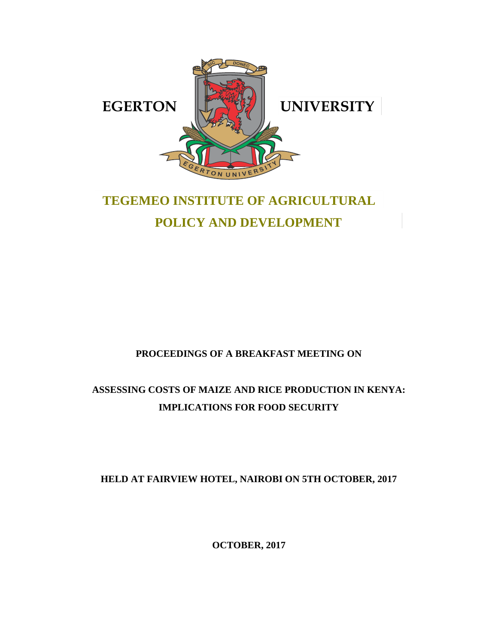

# **TEGEMEO INSTITUTE OF AGRICULTURAL POLICY AND DEVELOPMENT**

# **PROCEEDINGS OF A BREAKFAST MEETING ON**

# **ASSESSING COSTS OF MAIZE AND RICE PRODUCTION IN KENYA: IMPLICATIONS FOR FOOD SECURITY**

# **HELD AT FAIRVIEW HOTEL, NAIROBI ON 5TH OCTOBER, 2017**

**OCTOBER, 2017**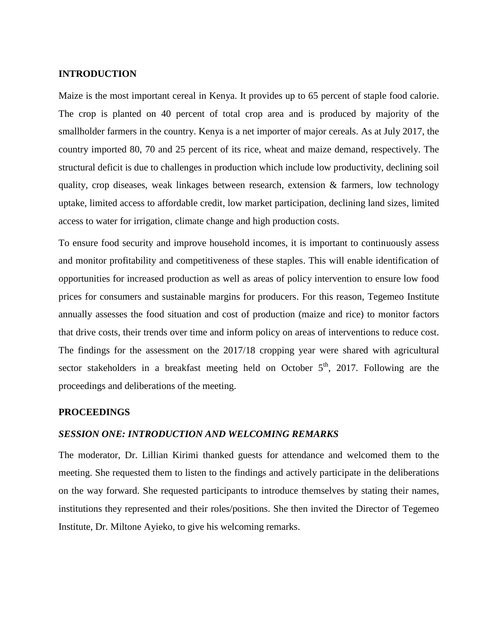# **INTRODUCTION**

Maize is the most important cereal in Kenya. It provides up to 65 percent of staple food calorie. The crop is planted on 40 percent of total crop area and is produced by majority of the smallholder farmers in the country. Kenya is a net importer of major cereals. As at July 2017, the country imported 80, 70 and 25 percent of its rice, wheat and maize demand, respectively. The structural deficit is due to challenges in production which include low productivity, declining soil quality, crop diseases, weak linkages between research, extension  $\&$  farmers, low technology uptake, limited access to affordable credit, low market participation, declining land sizes, limited access to water for irrigation, climate change and high production costs.

To ensure food security and improve household incomes, it is important to continuously assess and monitor profitability and competitiveness of these staples. This will enable identification of opportunities for increased production as well as areas of policy intervention to ensure low food prices for consumers and sustainable margins for producers. For this reason, Tegemeo Institute annually assesses the food situation and cost of production (maize and rice) to monitor factors that drive costs, their trends over time and inform policy on areas of interventions to reduce cost. The findings for the assessment on the 2017/18 cropping year were shared with agricultural sector stakeholders in a breakfast meeting held on October  $5<sup>th</sup>$ , 2017. Following are the proceedings and deliberations of the meeting.

# **PROCEEDINGS**

# *SESSION ONE: INTRODUCTION AND WELCOMING REMARKS*

The moderator, Dr. Lillian Kirimi thanked guests for attendance and welcomed them to the meeting. She requested them to listen to the findings and actively participate in the deliberations on the way forward. She requested participants to introduce themselves by stating their names, institutions they represented and their roles/positions. She then invited the Director of Tegemeo Institute, Dr. Miltone Ayieko, to give his welcoming remarks.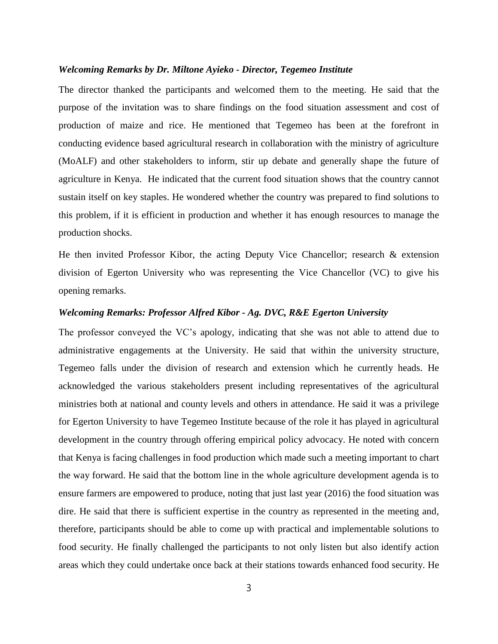#### *Welcoming Remarks by Dr. Miltone Ayieko - Director, Tegemeo Institute*

The director thanked the participants and welcomed them to the meeting. He said that the purpose of the invitation was to share findings on the food situation assessment and cost of production of maize and rice. He mentioned that Tegemeo has been at the forefront in conducting evidence based agricultural research in collaboration with the ministry of agriculture (MoALF) and other stakeholders to inform, stir up debate and generally shape the future of agriculture in Kenya. He indicated that the current food situation shows that the country cannot sustain itself on key staples. He wondered whether the country was prepared to find solutions to this problem, if it is efficient in production and whether it has enough resources to manage the production shocks.

He then invited Professor Kibor, the acting Deputy Vice Chancellor; research & extension division of Egerton University who was representing the Vice Chancellor (VC) to give his opening remarks.

# *Welcoming Remarks: Professor Alfred Kibor - Ag. DVC, R&E Egerton University*

The professor conveyed the VC's apology, indicating that she was not able to attend due to administrative engagements at the University. He said that within the university structure, Tegemeo falls under the division of research and extension which he currently heads. He acknowledged the various stakeholders present including representatives of the agricultural ministries both at national and county levels and others in attendance. He said it was a privilege for Egerton University to have Tegemeo Institute because of the role it has played in agricultural development in the country through offering empirical policy advocacy. He noted with concern that Kenya is facing challenges in food production which made such a meeting important to chart the way forward. He said that the bottom line in the whole agriculture development agenda is to ensure farmers are empowered to produce, noting that just last year (2016) the food situation was dire. He said that there is sufficient expertise in the country as represented in the meeting and, therefore, participants should be able to come up with practical and implementable solutions to food security. He finally challenged the participants to not only listen but also identify action areas which they could undertake once back at their stations towards enhanced food security. He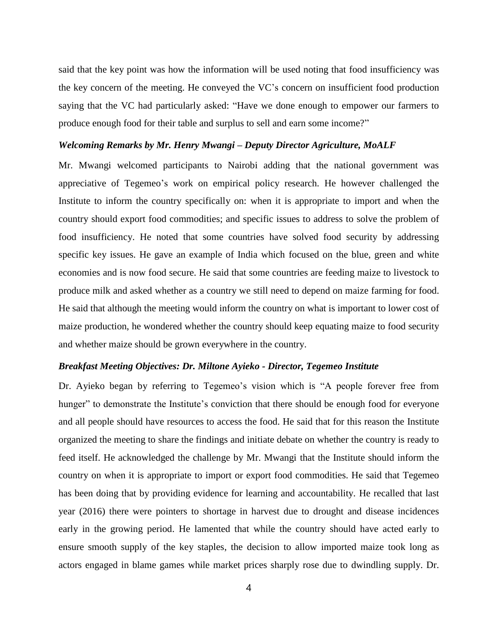said that the key point was how the information will be used noting that food insufficiency was the key concern of the meeting. He conveyed the VC's concern on insufficient food production saying that the VC had particularly asked: "Have we done enough to empower our farmers to produce enough food for their table and surplus to sell and earn some income?"

# *Welcoming Remarks by Mr. Henry Mwangi – Deputy Director Agriculture, MoALF*

Mr. Mwangi welcomed participants to Nairobi adding that the national government was appreciative of Tegemeo's work on empirical policy research. He however challenged the Institute to inform the country specifically on: when it is appropriate to import and when the country should export food commodities; and specific issues to address to solve the problem of food insufficiency. He noted that some countries have solved food security by addressing specific key issues. He gave an example of India which focused on the blue, green and white economies and is now food secure. He said that some countries are feeding maize to livestock to produce milk and asked whether as a country we still need to depend on maize farming for food. He said that although the meeting would inform the country on what is important to lower cost of maize production, he wondered whether the country should keep equating maize to food security and whether maize should be grown everywhere in the country.

# *Breakfast Meeting Objectives: Dr. Miltone Ayieko - Director, Tegemeo Institute*

Dr. Ayieko began by referring to Tegemeo's vision which is "A people forever free from hunger" to demonstrate the Institute's conviction that there should be enough food for everyone and all people should have resources to access the food. He said that for this reason the Institute organized the meeting to share the findings and initiate debate on whether the country is ready to feed itself. He acknowledged the challenge by Mr. Mwangi that the Institute should inform the country on when it is appropriate to import or export food commodities. He said that Tegemeo has been doing that by providing evidence for learning and accountability. He recalled that last year (2016) there were pointers to shortage in harvest due to drought and disease incidences early in the growing period. He lamented that while the country should have acted early to ensure smooth supply of the key staples, the decision to allow imported maize took long as actors engaged in blame games while market prices sharply rose due to dwindling supply. Dr.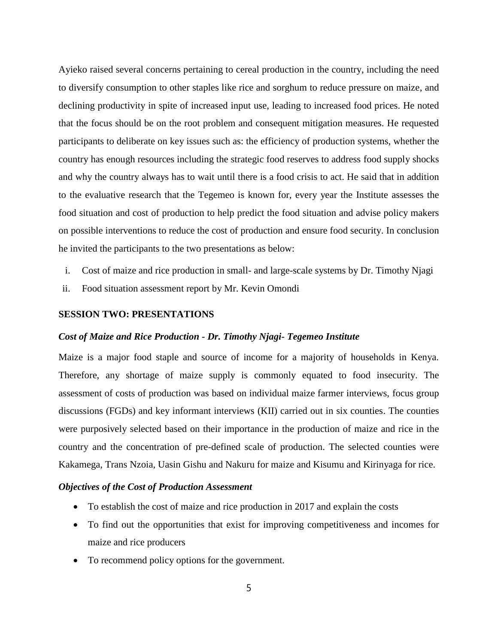Ayieko raised several concerns pertaining to cereal production in the country, including the need to diversify consumption to other staples like rice and sorghum to reduce pressure on maize, and declining productivity in spite of increased input use, leading to increased food prices. He noted that the focus should be on the root problem and consequent mitigation measures. He requested participants to deliberate on key issues such as: the efficiency of production systems, whether the country has enough resources including the strategic food reserves to address food supply shocks and why the country always has to wait until there is a food crisis to act. He said that in addition to the evaluative research that the Tegemeo is known for, every year the Institute assesses the food situation and cost of production to help predict the food situation and advise policy makers on possible interventions to reduce the cost of production and ensure food security. In conclusion he invited the participants to the two presentations as below:

- i. Cost of maize and rice production in small- and large-scale systems by Dr. Timothy Njagi
- ii. Food situation assessment report by Mr. Kevin Omondi

# **SESSION TWO: PRESENTATIONS**

# *Cost of Maize and Rice Production - Dr. Timothy Njagi- Tegemeo Institute*

Maize is a major food staple and source of income for a majority of households in Kenya. Therefore, any shortage of maize supply is commonly equated to food insecurity. The assessment of costs of production was based on individual maize farmer interviews, focus group discussions (FGDs) and key informant interviews (KII) carried out in six counties. The counties were purposively selected based on their importance in the production of maize and rice in the country and the concentration of pre-defined scale of production. The selected counties were Kakamega, Trans Nzoia, Uasin Gishu and Nakuru for maize and Kisumu and Kirinyaga for rice.

# *Objectives of the Cost of Production Assessment*

- To establish the cost of maize and rice production in 2017 and explain the costs
- To find out the opportunities that exist for improving competitiveness and incomes for maize and rice producers
- To recommend policy options for the government.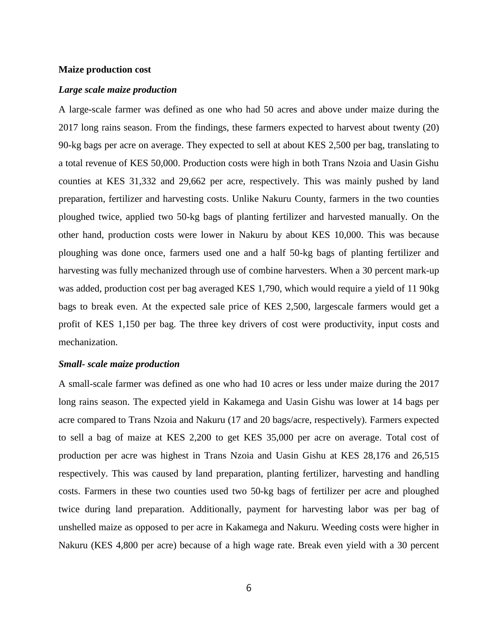# **Maize production cost**

# *Large scale maize production*

A large-scale farmer was defined as one who had 50 acres and above under maize during the 2017 long rains season. From the findings, these farmers expected to harvest about twenty (20) 90-kg bags per acre on average. They expected to sell at about KES 2,500 per bag, translating to a total revenue of KES 50,000. Production costs were high in both Trans Nzoia and Uasin Gishu counties at KES 31,332 and 29,662 per acre, respectively. This was mainly pushed by land preparation, fertilizer and harvesting costs. Unlike Nakuru County, farmers in the two counties ploughed twice, applied two 50-kg bags of planting fertilizer and harvested manually. On the other hand, production costs were lower in Nakuru by about KES 10,000. This was because ploughing was done once, farmers used one and a half 50-kg bags of planting fertilizer and harvesting was fully mechanized through use of combine harvesters. When a 30 percent mark-up was added, production cost per bag averaged KES 1,790, which would require a yield of 11 90kg bags to break even. At the expected sale price of KES 2,500, largescale farmers would get a profit of KES 1,150 per bag. The three key drivers of cost were productivity, input costs and mechanization.

# *Small- scale maize production*

A small-scale farmer was defined as one who had 10 acres or less under maize during the 2017 long rains season. The expected yield in Kakamega and Uasin Gishu was lower at 14 bags per acre compared to Trans Nzoia and Nakuru (17 and 20 bags/acre, respectively). Farmers expected to sell a bag of maize at KES 2,200 to get KES 35,000 per acre on average. Total cost of production per acre was highest in Trans Nzoia and Uasin Gishu at KES 28,176 and 26,515 respectively. This was caused by land preparation, planting fertilizer, harvesting and handling costs. Farmers in these two counties used two 50-kg bags of fertilizer per acre and ploughed twice during land preparation. Additionally, payment for harvesting labor was per bag of unshelled maize as opposed to per acre in Kakamega and Nakuru. Weeding costs were higher in Nakuru (KES 4,800 per acre) because of a high wage rate. Break even yield with a 30 percent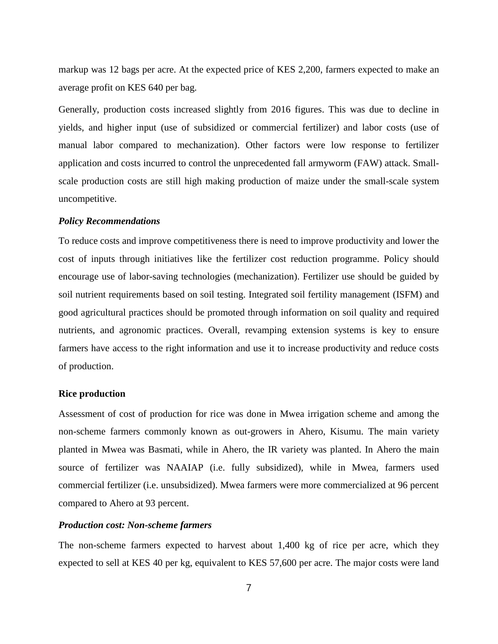markup was 12 bags per acre. At the expected price of KES 2,200, farmers expected to make an average profit on KES 640 per bag.

Generally, production costs increased slightly from 2016 figures. This was due to decline in yields, and higher input (use of subsidized or commercial fertilizer) and labor costs (use of manual labor compared to mechanization). Other factors were low response to fertilizer application and costs incurred to control the unprecedented fall armyworm (FAW) attack. Smallscale production costs are still high making production of maize under the small-scale system uncompetitive.

### *Policy Recommendations*

To reduce costs and improve competitiveness there is need to improve productivity and lower the cost of inputs through initiatives like the fertilizer cost reduction programme. Policy should encourage use of labor-saving technologies (mechanization). Fertilizer use should be guided by soil nutrient requirements based on soil testing. Integrated soil fertility management (ISFM) and good agricultural practices should be promoted through information on soil quality and required nutrients, and agronomic practices. Overall, revamping extension systems is key to ensure farmers have access to the right information and use it to increase productivity and reduce costs of production.

# **Rice production**

Assessment of cost of production for rice was done in Mwea irrigation scheme and among the non-scheme farmers commonly known as out-growers in Ahero, Kisumu. The main variety planted in Mwea was Basmati, while in Ahero, the IR variety was planted. In Ahero the main source of fertilizer was NAAIAP (i.e. fully subsidized), while in Mwea, farmers used commercial fertilizer (i.e. unsubsidized). Mwea farmers were more commercialized at 96 percent compared to Ahero at 93 percent.

# *Production cost: Non-scheme farmers*

The non-scheme farmers expected to harvest about 1,400 kg of rice per acre, which they expected to sell at KES 40 per kg, equivalent to KES 57,600 per acre. The major costs were land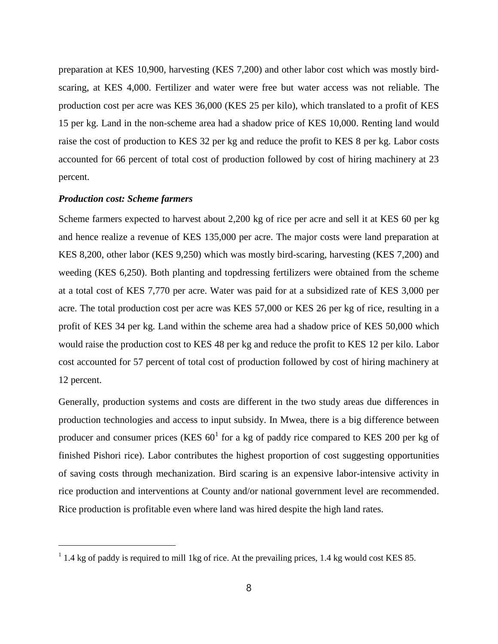preparation at KES 10,900, harvesting (KES 7,200) and other labor cost which was mostly birdscaring, at KES 4,000. Fertilizer and water were free but water access was not reliable. The production cost per acre was KES 36,000 (KES 25 per kilo), which translated to a profit of KES 15 per kg. Land in the non-scheme area had a shadow price of KES 10,000. Renting land would raise the cost of production to KES 32 per kg and reduce the profit to KES 8 per kg. Labor costs accounted for 66 percent of total cost of production followed by cost of hiring machinery at 23 percent.

# *Production cost: Scheme farmers*

 $\overline{a}$ 

Scheme farmers expected to harvest about 2,200 kg of rice per acre and sell it at KES 60 per kg and hence realize a revenue of KES 135,000 per acre. The major costs were land preparation at KES 8,200, other labor (KES 9,250) which was mostly bird-scaring, harvesting (KES 7,200) and weeding (KES 6,250). Both planting and topdressing fertilizers were obtained from the scheme at a total cost of KES 7,770 per acre. Water was paid for at a subsidized rate of KES 3,000 per acre. The total production cost per acre was KES 57,000 or KES 26 per kg of rice, resulting in a profit of KES 34 per kg. Land within the scheme area had a shadow price of KES 50,000 which would raise the production cost to KES 48 per kg and reduce the profit to KES 12 per kilo. Labor cost accounted for 57 percent of total cost of production followed by cost of hiring machinery at 12 percent.

Generally, production systems and costs are different in the two study areas due differences in production technologies and access to input subsidy. In Mwea, there is a big difference between producer and consumer prices (KES  $60^1$  for a kg of paddy rice compared to KES 200 per kg of finished Pishori rice). Labor contributes the highest proportion of cost suggesting opportunities of saving costs through mechanization. Bird scaring is an expensive labor-intensive activity in rice production and interventions at County and/or national government level are recommended. Rice production is profitable even where land was hired despite the high land rates.

 $1.4$  kg of paddy is required to mill 1kg of rice. At the prevailing prices, 1.4 kg would cost KES 85.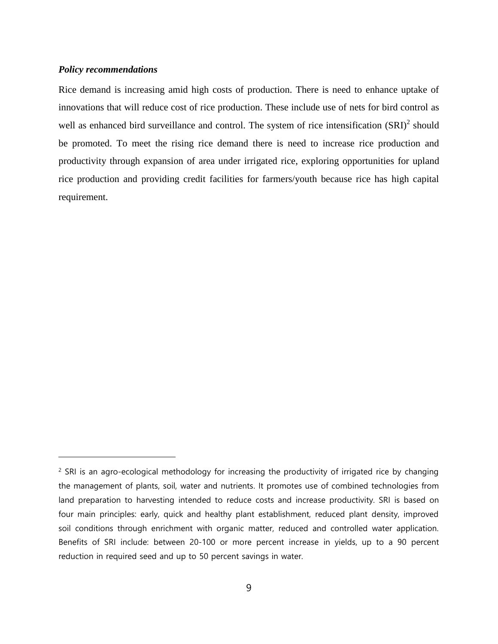# *Policy recommendations*

 $\overline{a}$ 

Rice demand is increasing amid high costs of production. There is need to enhance uptake of innovations that will reduce cost of rice production. These include use of nets for bird control as well as enhanced bird surveillance and control. The system of rice intensification  $(SRI)^2$  should be promoted. To meet the rising rice demand there is need to increase rice production and productivity through expansion of area under irrigated rice, exploring opportunities for upland rice production and providing credit facilities for farmers/youth because rice has high capital requirement.

<sup>&</sup>lt;sup>2</sup> SRI is an agro-ecological methodology for increasing the productivity of irrigated rice by changing the management of plants, soil, water and nutrients. It promotes use of combined technologies from land preparation to harvesting intended to reduce costs and increase productivity. SRI is based on four main principles: early, quick and healthy plant establishment, reduced plant density, improved soil conditions through enrichment with organic matter, reduced and controlled water application. Benefits of SRI include: between 20-100 or more percent increase in yields, up to a 90 percent reduction in required seed and up to 50 percent savings in water.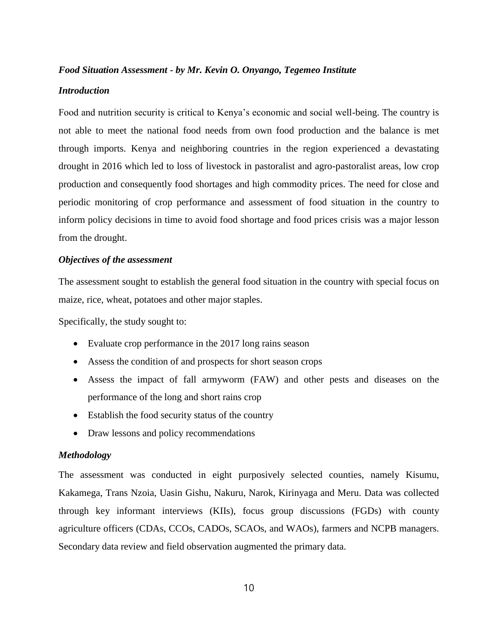# *Food Situation Assessment - by Mr. Kevin O. Onyango, Tegemeo Institute*

# *Introduction*

Food and nutrition security is critical to Kenya's economic and social well-being. The country is not able to meet the national food needs from own food production and the balance is met through imports. Kenya and neighboring countries in the region experienced a devastating drought in 2016 which led to loss of livestock in pastoralist and agro-pastoralist areas, low crop production and consequently food shortages and high commodity prices. The need for close and periodic monitoring of crop performance and assessment of food situation in the country to inform policy decisions in time to avoid food shortage and food prices crisis was a major lesson from the drought.

# *Objectives of the assessment*

The assessment sought to establish the general food situation in the country with special focus on maize, rice, wheat, potatoes and other major staples.

Specifically, the study sought to:

- Evaluate crop performance in the 2017 long rains season
- Assess the condition of and prospects for short season crops
- Assess the impact of fall armyworm (FAW) and other pests and diseases on the performance of the long and short rains crop
- Establish the food security status of the country
- Draw lessons and policy recommendations

# *Methodology*

The assessment was conducted in eight purposively selected counties, namely Kisumu, Kakamega, Trans Nzoia, Uasin Gishu, Nakuru, Narok, Kirinyaga and Meru. Data was collected through key informant interviews (KIIs), focus group discussions (FGDs) with county agriculture officers (CDAs, CCOs, CADOs, SCAOs, and WAOs), farmers and NCPB managers. Secondary data review and field observation augmented the primary data.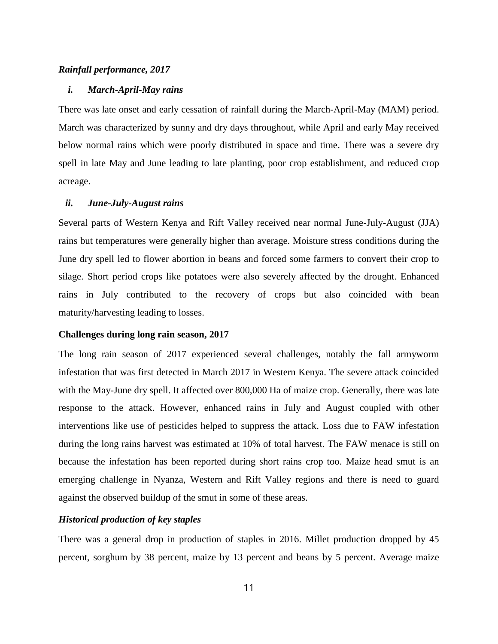# *Rainfall performance, 2017*

# *i. March-April-May rains*

There was late onset and early cessation of rainfall during the March-April-May (MAM) period. March was characterized by sunny and dry days throughout, while April and early May received below normal rains which were poorly distributed in space and time. There was a severe dry spell in late May and June leading to late planting, poor crop establishment, and reduced crop acreage.

# *ii. June-July-August rains*

Several parts of Western Kenya and Rift Valley received near normal June-July-August (JJA) rains but temperatures were generally higher than average. Moisture stress conditions during the June dry spell led to flower abortion in beans and forced some farmers to convert their crop to silage. Short period crops like potatoes were also severely affected by the drought. Enhanced rains in July contributed to the recovery of crops but also coincided with bean maturity/harvesting leading to losses.

# **Challenges during long rain season, 2017**

The long rain season of 2017 experienced several challenges, notably the fall armyworm infestation that was first detected in March 2017 in Western Kenya. The severe attack coincided with the May-June dry spell. It affected over 800,000 Ha of maize crop. Generally, there was late response to the attack. However, enhanced rains in July and August coupled with other interventions like use of pesticides helped to suppress the attack. Loss due to FAW infestation during the long rains harvest was estimated at 10% of total harvest. The FAW menace is still on because the infestation has been reported during short rains crop too. Maize head smut is an emerging challenge in Nyanza, Western and Rift Valley regions and there is need to guard against the observed buildup of the smut in some of these areas.

# *Historical production of key staples*

There was a general drop in production of staples in 2016. Millet production dropped by 45 percent, sorghum by 38 percent, maize by 13 percent and beans by 5 percent. Average maize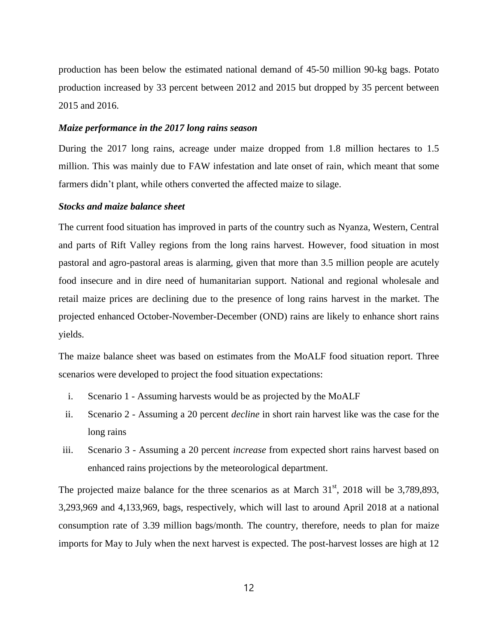production has been below the estimated national demand of 45-50 million 90-kg bags. Potato production increased by 33 percent between 2012 and 2015 but dropped by 35 percent between 2015 and 2016.

## *Maize performance in the 2017 long rains season*

During the 2017 long rains, acreage under maize dropped from 1.8 million hectares to 1.5 million. This was mainly due to FAW infestation and late onset of rain, which meant that some farmers didn't plant, while others converted the affected maize to silage.

# *Stocks and maize balance sheet*

The current food situation has improved in parts of the country such as Nyanza, Western, Central and parts of Rift Valley regions from the long rains harvest. However, food situation in most pastoral and agro-pastoral areas is alarming, given that more than 3.5 million people are acutely food insecure and in dire need of humanitarian support. National and regional wholesale and retail maize prices are declining due to the presence of long rains harvest in the market. The projected enhanced October-November-December (OND) rains are likely to enhance short rains yields.

The maize balance sheet was based on estimates from the MoALF food situation report. Three scenarios were developed to project the food situation expectations:

- i. Scenario 1 Assuming harvests would be as projected by the MoALF
- ii. Scenario 2 Assuming a 20 percent *decline* in short rain harvest like was the case for the long rains
- iii. Scenario 3 Assuming a 20 percent *increase* from expected short rains harvest based on enhanced rains projections by the meteorological department.

The projected maize balance for the three scenarios as at March  $31<sup>st</sup>$ , 2018 will be 3,789,893, 3,293,969 and 4,133,969, bags, respectively, which will last to around April 2018 at a national consumption rate of 3.39 million bags/month. The country, therefore, needs to plan for maize imports for May to July when the next harvest is expected. The post-harvest losses are high at 12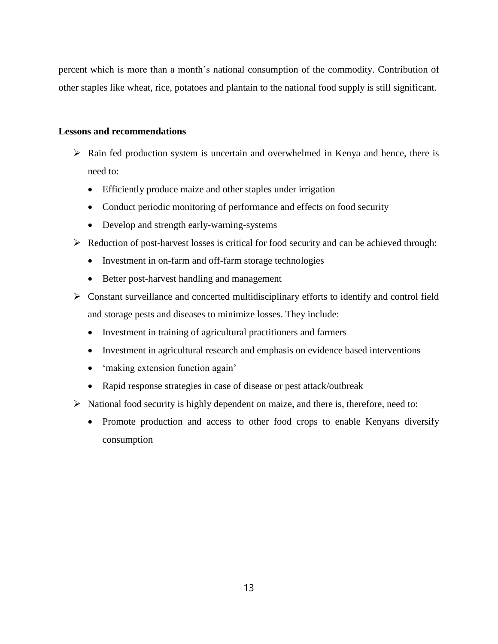percent which is more than a month's national consumption of the commodity. Contribution of other staples like wheat, rice, potatoes and plantain to the national food supply is still significant.

# **Lessons and recommendations**

- $\triangleright$  Rain fed production system is uncertain and overwhelmed in Kenya and hence, there is need to:
	- Efficiently produce maize and other staples under irrigation
	- Conduct periodic monitoring of performance and effects on food security
	- Develop and strength early-warning-systems
- $\triangleright$  Reduction of post-harvest losses is critical for food security and can be achieved through:
	- Investment in on-farm and off-farm storage technologies
	- Better post-harvest handling and management
- Constant surveillance and concerted multidisciplinary efforts to identify and control field and storage pests and diseases to minimize losses. They include:
	- Investment in training of agricultural practitioners and farmers
	- Investment in agricultural research and emphasis on evidence based interventions
	- 'making extension function again'
	- Rapid response strategies in case of disease or pest attack/outbreak
- $\triangleright$  National food security is highly dependent on maize, and there is, therefore, need to:
	- Promote production and access to other food crops to enable Kenyans diversify consumption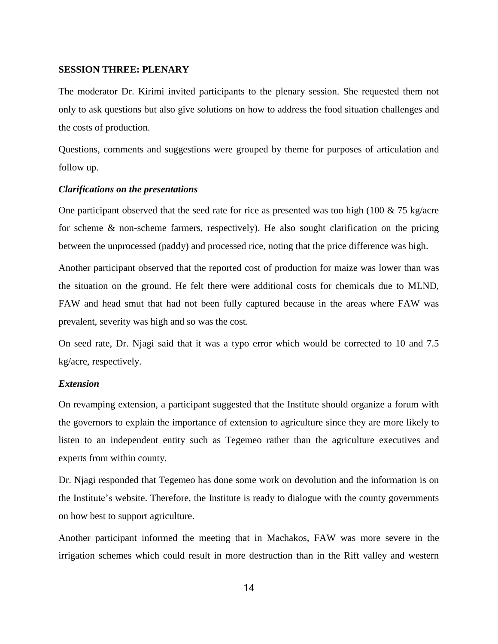# **SESSION THREE: PLENARY**

The moderator Dr. Kirimi invited participants to the plenary session. She requested them not only to ask questions but also give solutions on how to address the food situation challenges and the costs of production.

Questions, comments and suggestions were grouped by theme for purposes of articulation and follow up.

# *Clarifications on the presentations*

One participant observed that the seed rate for rice as presented was too high (100  $\&$  75 kg/acre for scheme & non-scheme farmers, respectively). He also sought clarification on the pricing between the unprocessed (paddy) and processed rice, noting that the price difference was high.

Another participant observed that the reported cost of production for maize was lower than was the situation on the ground. He felt there were additional costs for chemicals due to MLND, FAW and head smut that had not been fully captured because in the areas where FAW was prevalent, severity was high and so was the cost.

On seed rate, Dr. Njagi said that it was a typo error which would be corrected to 10 and 7.5 kg/acre, respectively.

# *Extension*

On revamping extension, a participant suggested that the Institute should organize a forum with the governors to explain the importance of extension to agriculture since they are more likely to listen to an independent entity such as Tegemeo rather than the agriculture executives and experts from within county.

Dr. Njagi responded that Tegemeo has done some work on devolution and the information is on the Institute's website. Therefore, the Institute is ready to dialogue with the county governments on how best to support agriculture.

Another participant informed the meeting that in Machakos, FAW was more severe in the irrigation schemes which could result in more destruction than in the Rift valley and western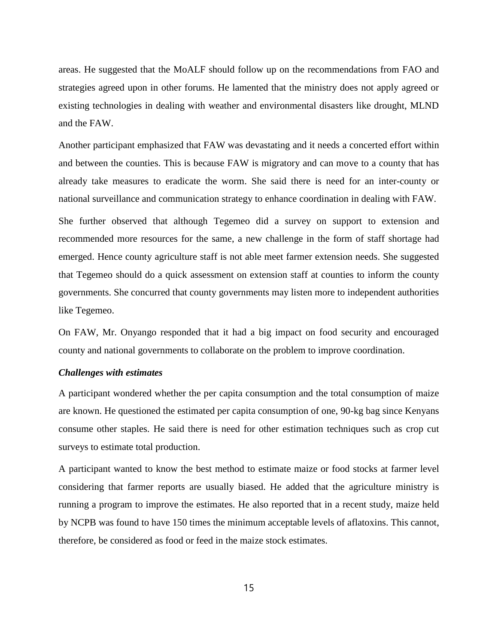areas. He suggested that the MoALF should follow up on the recommendations from FAO and strategies agreed upon in other forums. He lamented that the ministry does not apply agreed or existing technologies in dealing with weather and environmental disasters like drought, MLND and the FAW.

Another participant emphasized that FAW was devastating and it needs a concerted effort within and between the counties. This is because FAW is migratory and can move to a county that has already take measures to eradicate the worm. She said there is need for an inter-county or national surveillance and communication strategy to enhance coordination in dealing with FAW.

She further observed that although Tegemeo did a survey on support to extension and recommended more resources for the same, a new challenge in the form of staff shortage had emerged. Hence county agriculture staff is not able meet farmer extension needs. She suggested that Tegemeo should do a quick assessment on extension staff at counties to inform the county governments. She concurred that county governments may listen more to independent authorities like Tegemeo.

On FAW, Mr. Onyango responded that it had a big impact on food security and encouraged county and national governments to collaborate on the problem to improve coordination.

# *Challenges with estimates*

A participant wondered whether the per capita consumption and the total consumption of maize are known. He questioned the estimated per capita consumption of one, 90-kg bag since Kenyans consume other staples. He said there is need for other estimation techniques such as crop cut surveys to estimate total production.

A participant wanted to know the best method to estimate maize or food stocks at farmer level considering that farmer reports are usually biased. He added that the agriculture ministry is running a program to improve the estimates. He also reported that in a recent study, maize held by NCPB was found to have 150 times the minimum acceptable levels of aflatoxins. This cannot, therefore, be considered as food or feed in the maize stock estimates.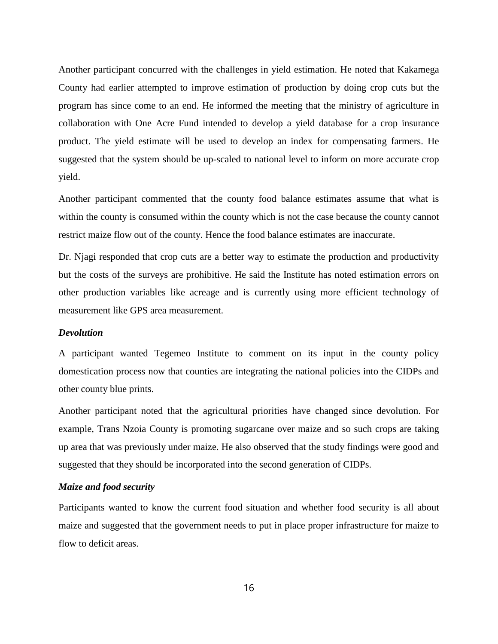Another participant concurred with the challenges in yield estimation. He noted that Kakamega County had earlier attempted to improve estimation of production by doing crop cuts but the program has since come to an end. He informed the meeting that the ministry of agriculture in collaboration with One Acre Fund intended to develop a yield database for a crop insurance product. The yield estimate will be used to develop an index for compensating farmers. He suggested that the system should be up-scaled to national level to inform on more accurate crop yield.

Another participant commented that the county food balance estimates assume that what is within the county is consumed within the county which is not the case because the county cannot restrict maize flow out of the county. Hence the food balance estimates are inaccurate.

Dr. Njagi responded that crop cuts are a better way to estimate the production and productivity but the costs of the surveys are prohibitive. He said the Institute has noted estimation errors on other production variables like acreage and is currently using more efficient technology of measurement like GPS area measurement.

# *Devolution*

A participant wanted Tegemeo Institute to comment on its input in the county policy domestication process now that counties are integrating the national policies into the CIDPs and other county blue prints.

Another participant noted that the agricultural priorities have changed since devolution. For example, Trans Nzoia County is promoting sugarcane over maize and so such crops are taking up area that was previously under maize. He also observed that the study findings were good and suggested that they should be incorporated into the second generation of CIDPs.

# *Maize and food security*

Participants wanted to know the current food situation and whether food security is all about maize and suggested that the government needs to put in place proper infrastructure for maize to flow to deficit areas.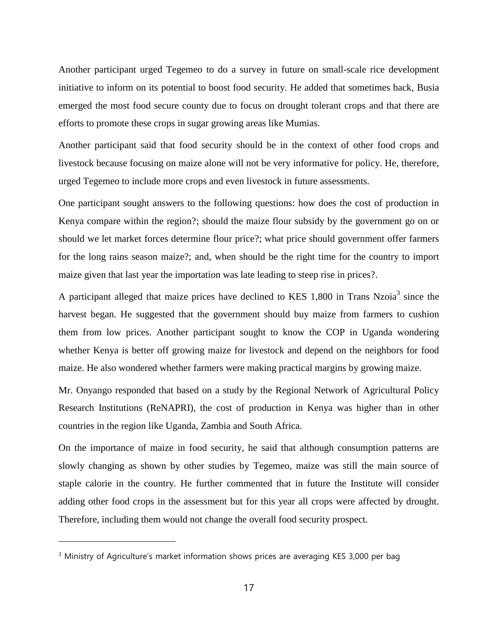Another participant urged Tegemeo to do a survey in future on small-scale rice development initiative to inform on its potential to boost food security. He added that sometimes back, Busia emerged the most food secure county due to focus on drought tolerant crops and that there are efforts to promote these crops in sugar growing areas like Mumias.

Another participant said that food security should be in the context of other food crops and livestock because focusing on maize alone will not be very informative for policy. He, therefore, urged Tegemeo to include more crops and even livestock in future assessments.

One participant sought answers to the following questions: how does the cost of production in Kenya compare within the region?; should the maize flour subsidy by the government go on or should we let market forces determine flour price?; what price should government offer farmers for the long rains season maize?; and, when should be the right time for the country to import maize given that last year the importation was late leading to steep rise in prices?.

A participant alleged that maize prices have declined to KES 1,800 in Trans Nzoia<sup>3</sup> since the harvest began. He suggested that the government should buy maize from farmers to cushion them from low prices. Another participant sought to know the COP in Uganda wondering whether Kenya is better off growing maize for livestock and depend on the neighbors for food maize. He also wondered whether farmers were making practical margins by growing maize.

Mr. Onyango responded that based on a study by the Regional Network of Agricultural Policy Research Institutions (ReNAPRI), the cost of production in Kenya was higher than in other countries in the region like Uganda, Zambia and South Africa.

On the importance of maize in food security, he said that although consumption patterns are slowly changing as shown by other studies by Tegemeo, maize was still the main source of staple calorie in the country. He further commented that in future the Institute will consider adding other food crops in the assessment but for this year all crops were affected by drought. Therefore, including them would not change the overall food security prospect.

 $\overline{a}$ 

<sup>&</sup>lt;sup>3</sup> Ministry of Agriculture's market information shows prices are averaging KES 3,000 per bag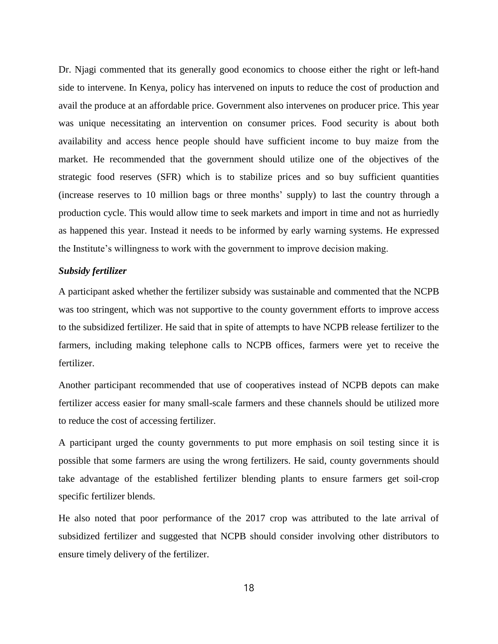Dr. Njagi commented that its generally good economics to choose either the right or left-hand side to intervene. In Kenya, policy has intervened on inputs to reduce the cost of production and avail the produce at an affordable price. Government also intervenes on producer price. This year was unique necessitating an intervention on consumer prices. Food security is about both availability and access hence people should have sufficient income to buy maize from the market. He recommended that the government should utilize one of the objectives of the strategic food reserves (SFR) which is to stabilize prices and so buy sufficient quantities (increase reserves to 10 million bags or three months' supply) to last the country through a production cycle. This would allow time to seek markets and import in time and not as hurriedly as happened this year. Instead it needs to be informed by early warning systems. He expressed the Institute's willingness to work with the government to improve decision making.

## *Subsidy fertilizer*

A participant asked whether the fertilizer subsidy was sustainable and commented that the NCPB was too stringent, which was not supportive to the county government efforts to improve access to the subsidized fertilizer. He said that in spite of attempts to have NCPB release fertilizer to the farmers, including making telephone calls to NCPB offices, farmers were yet to receive the fertilizer.

Another participant recommended that use of cooperatives instead of NCPB depots can make fertilizer access easier for many small-scale farmers and these channels should be utilized more to reduce the cost of accessing fertilizer.

A participant urged the county governments to put more emphasis on soil testing since it is possible that some farmers are using the wrong fertilizers. He said, county governments should take advantage of the established fertilizer blending plants to ensure farmers get soil-crop specific fertilizer blends.

He also noted that poor performance of the 2017 crop was attributed to the late arrival of subsidized fertilizer and suggested that NCPB should consider involving other distributors to ensure timely delivery of the fertilizer.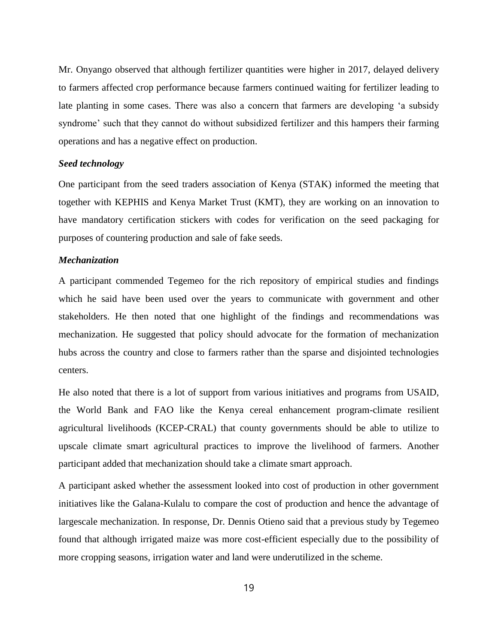Mr. Onyango observed that although fertilizer quantities were higher in 2017, delayed delivery to farmers affected crop performance because farmers continued waiting for fertilizer leading to late planting in some cases. There was also a concern that farmers are developing 'a subsidy syndrome' such that they cannot do without subsidized fertilizer and this hampers their farming operations and has a negative effect on production.

# *Seed technology*

One participant from the seed traders association of Kenya (STAK) informed the meeting that together with KEPHIS and Kenya Market Trust (KMT), they are working on an innovation to have mandatory certification stickers with codes for verification on the seed packaging for purposes of countering production and sale of fake seeds.

# *Mechanization*

A participant commended Tegemeo for the rich repository of empirical studies and findings which he said have been used over the years to communicate with government and other stakeholders. He then noted that one highlight of the findings and recommendations was mechanization. He suggested that policy should advocate for the formation of mechanization hubs across the country and close to farmers rather than the sparse and disjointed technologies centers.

He also noted that there is a lot of support from various initiatives and programs from USAID, the World Bank and FAO like the Kenya cereal enhancement program-climate resilient agricultural livelihoods (KCEP-CRAL) that county governments should be able to utilize to upscale climate smart agricultural practices to improve the livelihood of farmers. Another participant added that mechanization should take a climate smart approach.

A participant asked whether the assessment looked into cost of production in other government initiatives like the Galana-Kulalu to compare the cost of production and hence the advantage of largescale mechanization. In response, Dr. Dennis Otieno said that a previous study by Tegemeo found that although irrigated maize was more cost-efficient especially due to the possibility of more cropping seasons, irrigation water and land were underutilized in the scheme.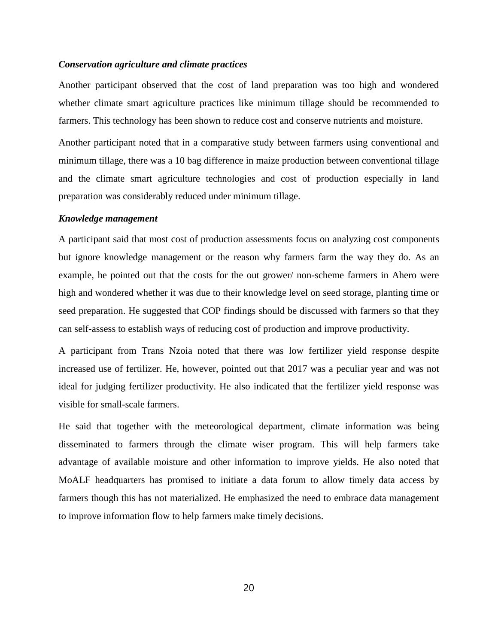# *Conservation agriculture and climate practices*

Another participant observed that the cost of land preparation was too high and wondered whether climate smart agriculture practices like minimum tillage should be recommended to farmers. This technology has been shown to reduce cost and conserve nutrients and moisture.

Another participant noted that in a comparative study between farmers using conventional and minimum tillage, there was a 10 bag difference in maize production between conventional tillage and the climate smart agriculture technologies and cost of production especially in land preparation was considerably reduced under minimum tillage.

# *Knowledge management*

A participant said that most cost of production assessments focus on analyzing cost components but ignore knowledge management or the reason why farmers farm the way they do. As an example, he pointed out that the costs for the out grower/ non-scheme farmers in Ahero were high and wondered whether it was due to their knowledge level on seed storage, planting time or seed preparation. He suggested that COP findings should be discussed with farmers so that they can self-assess to establish ways of reducing cost of production and improve productivity.

A participant from Trans Nzoia noted that there was low fertilizer yield response despite increased use of fertilizer. He, however, pointed out that 2017 was a peculiar year and was not ideal for judging fertilizer productivity. He also indicated that the fertilizer yield response was visible for small-scale farmers.

He said that together with the meteorological department, climate information was being disseminated to farmers through the climate wiser program. This will help farmers take advantage of available moisture and other information to improve yields. He also noted that MoALF headquarters has promised to initiate a data forum to allow timely data access by farmers though this has not materialized. He emphasized the need to embrace data management to improve information flow to help farmers make timely decisions.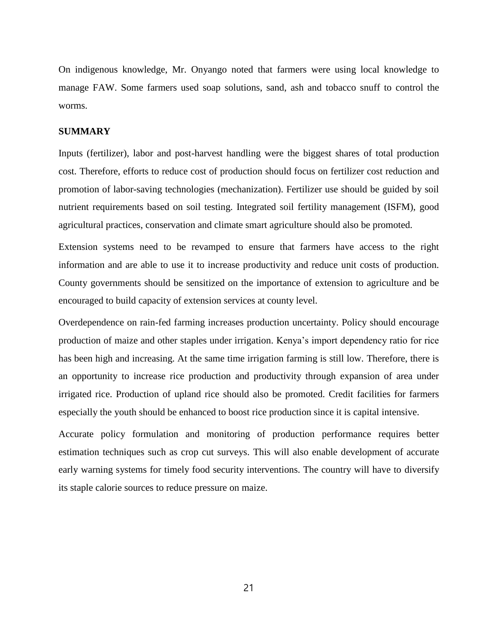On indigenous knowledge, Mr. Onyango noted that farmers were using local knowledge to manage FAW. Some farmers used soap solutions, sand, ash and tobacco snuff to control the worms.

# **SUMMARY**

Inputs (fertilizer), labor and post-harvest handling were the biggest shares of total production cost. Therefore, efforts to reduce cost of production should focus on fertilizer cost reduction and promotion of labor-saving technologies (mechanization). Fertilizer use should be guided by soil nutrient requirements based on soil testing. Integrated soil fertility management (ISFM), good agricultural practices, conservation and climate smart agriculture should also be promoted.

Extension systems need to be revamped to ensure that farmers have access to the right information and are able to use it to increase productivity and reduce unit costs of production. County governments should be sensitized on the importance of extension to agriculture and be encouraged to build capacity of extension services at county level.

Overdependence on rain-fed farming increases production uncertainty. Policy should encourage production of maize and other staples under irrigation. Kenya's import dependency ratio for rice has been high and increasing. At the same time irrigation farming is still low. Therefore, there is an opportunity to increase rice production and productivity through expansion of area under irrigated rice. Production of upland rice should also be promoted. Credit facilities for farmers especially the youth should be enhanced to boost rice production since it is capital intensive.

Accurate policy formulation and monitoring of production performance requires better estimation techniques such as crop cut surveys. This will also enable development of accurate early warning systems for timely food security interventions. The country will have to diversify its staple calorie sources to reduce pressure on maize.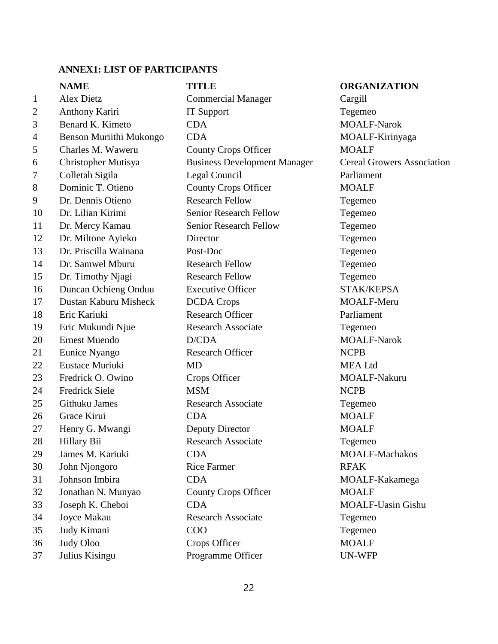# **ANNEX1: LIST OF PARTICIPANTS**

|              | <b>NAME</b>             | <b>TITLE</b>                        | <b>ORGANIZATION</b>               |
|--------------|-------------------------|-------------------------------------|-----------------------------------|
| $\mathbf{1}$ | <b>Alex Dietz</b>       | <b>Commercial Manager</b>           | Cargill                           |
| 2            | Anthony Kariri          | <b>IT Support</b>                   | Tegemeo                           |
| 3            | Benard K. Kimeto        | <b>CDA</b>                          | <b>MOALF-Narok</b>                |
| 4            | Benson Muriithi Mukongo | <b>CDA</b>                          | MOALF-Kirinyaga                   |
| 5            | Charles M. Waweru       | <b>County Crops Officer</b>         | <b>MOALF</b>                      |
| 6            | Christopher Mutisya     | <b>Business Development Manager</b> | <b>Cereal Growers Association</b> |
| 7            | Colletah Sigila         | Legal Council                       | Parliament                        |
| 8            | Dominic T. Otieno       | <b>County Crops Officer</b>         | <b>MOALF</b>                      |
| 9            | Dr. Dennis Otieno       | <b>Research Fellow</b>              | Tegemeo                           |
| 10           | Dr. Lilian Kirimi       | <b>Senior Research Fellow</b>       | Tegemeo                           |
| 11           | Dr. Mercy Kamau         | <b>Senior Research Fellow</b>       | Tegemeo                           |
| 12           | Dr. Miltone Ayieko      | Director                            | Tegemeo                           |
| 13           | Dr. Priscilla Wainana   | Post-Doc                            | Tegemeo                           |
| 14           | Dr. Samwel Mburu        | <b>Research Fellow</b>              | Tegemeo                           |
| 15           | Dr. Timothy Njagi       | <b>Research Fellow</b>              | Tegemeo                           |
| 16           | Duncan Ochieng Onduu    | <b>Executive Officer</b>            | STAK/KEPSA                        |
| 17           | Dustan Kaburu Misheck   | <b>DCDA</b> Crops                   | MOALF-Meru                        |
| 18           | Eric Kariuki            | <b>Research Officer</b>             | Parliament                        |
| 19           | Eric Mukundi Njue       | <b>Research Associate</b>           | Tegemeo                           |
| 20           | <b>Ernest Muendo</b>    | D/CDA                               | <b>MOALF-Narok</b>                |
| 21           | Eunice Nyango           | <b>Research Officer</b>             | <b>NCPB</b>                       |
| 22           | Eustace Muriuki         | <b>MD</b>                           | <b>MEA</b> Ltd                    |
| 23           | Fredrick O. Owino       | Crops Officer                       | MOALF-Nakuru                      |
| 24           | <b>Fredrick Siele</b>   | <b>MSM</b>                          | <b>NCPB</b>                       |
| 25           | Githuku James           | <b>Research Associate</b>           | Tegemeo                           |
| 26           | Grace Kirui             | <b>CDA</b>                          | <b>MOALF</b>                      |
| 27           | Henry G. Mwangi         | Deputy Director                     | <b>MOALF</b>                      |
| 28           | Hillary Bii             | Research Associate                  | Tegemeo                           |
| 29           | James M. Kariuki        | <b>CDA</b>                          | <b>MOALF-Machakos</b>             |
| 30           | John Njongoro           | <b>Rice Farmer</b>                  | <b>RFAK</b>                       |
| 31           | Johnson Imbira          | <b>CDA</b>                          | MOALF-Kakamega                    |
| 32           | Jonathan N. Munyao      | <b>County Crops Officer</b>         | <b>MOALF</b>                      |
| 33           | Joseph K. Cheboi        | <b>CDA</b>                          | <b>MOALF-Uasin Gishu</b>          |
| 34           | Joyce Makau             | <b>Research Associate</b>           | Tegemeo                           |
| 35           | Judy Kimani             | COO                                 | Tegemeo                           |
| 36           | Judy Oloo               | Crops Officer                       | <b>MOALF</b>                      |
| 37           | Julius Kisingu          | Programme Officer                   | UN-WFP                            |